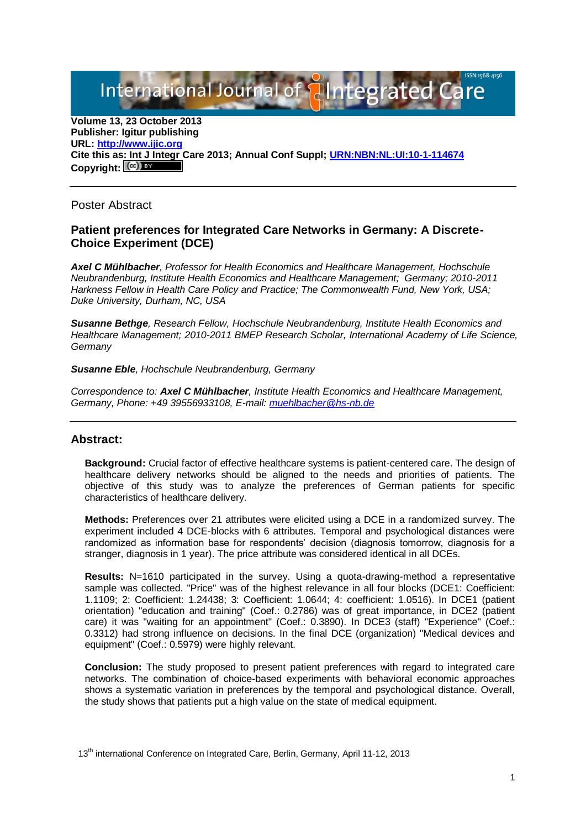International Journal of **Plntegrated** 

**Volume 13, 23 October 2013 Publisher: Igitur publishing URL[: http://www.ijic.org](http://www.ijic.org/) Cite this as: Int J Integr Care 2013; Annual Conf Suppl; [URN:NBN:NL:UI:10-1-114674](http://persistent-identifier.nl/?identifier=URN:NBN:NL:UI:10-1-114674)** Copyright:  $(cc)$  BY

Poster Abstract

## **Patient preferences for Integrated Care Networks in Germany: A Discrete-Choice Experiment (DCE)**

*Axel C Mühlbacher, Professor for Health Economics and Healthcare Management, Hochschule Neubrandenburg, Institute Health Economics and Healthcare Management; Germany; 2010-2011 Harkness Fellow in Health Care Policy and Practice; The Commonwealth Fund, New York, USA; Duke University, Durham, NC, USA*

*Susanne Bethge, Research Fellow, Hochschule Neubrandenburg, Institute Health Economics and Healthcare Management; 2010-2011 BMEP Research Scholar, International Academy of Life Science, Germany*

## *Susanne Eble, Hochschule Neubrandenburg, Germany*

*Correspondence to: Axel C Mühlbacher, Institute Health Economics and Healthcare Management, Germany, Phone: +49 39556933108, E-mail: [muehlbacher@hs-nb.de](mailto:muehlbacher@hs-nb.de)*

## **Abstract:**

**Background:** Crucial factor of effective healthcare systems is patient-centered care. The design of healthcare delivery networks should be aligned to the needs and priorities of patients. The objective of this study was to analyze the preferences of German patients for specific characteristics of healthcare delivery.

**Methods:** Preferences over 21 attributes were elicited using a DCE in a randomized survey. The experiment included 4 DCE-blocks with 6 attributes. Temporal and psychological distances were randomized as information base for respondents' decision (diagnosis tomorrow, diagnosis for a stranger, diagnosis in 1 year). The price attribute was considered identical in all DCEs.

**Results:** N=1610 participated in the survey. Using a quota-drawing-method a representative sample was collected. "Price" was of the highest relevance in all four blocks (DCE1: Coefficient: 1.1109; 2: Coefficient: 1.24438; 3: Coefficient: 1.0644; 4: coefficient: 1.0516). In DCE1 (patient orientation) "education and training" (Coef.: 0.2786) was of great importance, in DCE2 (patient care) it was "waiting for an appointment" (Coef.: 0.3890). In DCE3 (staff) "Experience" (Coef.: 0.3312) had strong influence on decisions. In the final DCE (organization) "Medical devices and equipment" (Coef.: 0.5979) were highly relevant.

**Conclusion:** The study proposed to present patient preferences with regard to integrated care networks. The combination of choice-based experiments with behavioral economic approaches shows a systematic variation in preferences by the temporal and psychological distance. Overall, the study shows that patients put a high value on the state of medical equipment.

13<sup>th</sup> international Conference on Integrated Care, Berlin, Germany, April 11-12, 2013